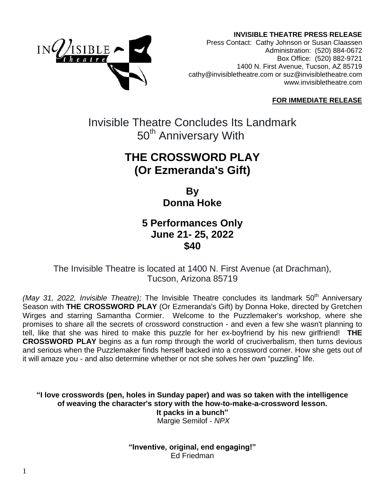**INVISIBLE THEATRE PRESS RELEASE**



Press Contact: Cathy Johnson or Susan Claassen Administration: (520) 884-0672 Box Office: (520) 882-9721 1400 N. First Avenue, Tucson, AZ 85719 [cathy@invisibletheatre.com](mailto:cathy@invisibletheatre.com) or suz@invisibletheatre.com [www.invisibletheatre.com](http://www.invisibletheatre.com/)

#### **FOR IMMEDIATE RELEASE**

Invisible Theatre Concludes Its Landmark 50<sup>th</sup> Anniversary With

# **THE CROSSWORD PLAY (Or Ezmeranda's Gift)**

**By Donna Hoke**

### **5 Performances Only June 21- 25, 2022 \$40**

The Invisible Theatre is located at 1400 N. First Avenue (at Drachman), Tucson, Arizona 85719

*(May 31, 2022, Invisible Theatre);* The Invisible Theatre concludes its landmark 50<sup>th</sup> Anniversary Season with **THE CROSSWORD PLAY** (Or Ezmeranda's Gift) by Donna Hoke, directed by Gretchen Wirges and starring Samantha Cormier. Welcome to the Puzzlemaker's workshop, where she promises to share all the secrets of crossword construction - and even a few she wasn't planning to tell, like that she was hired to make this puzzle for her ex-boyfriend by his new girlfriend! **THE CROSSWORD PLAY** begins as a fun romp through the world of cruciverbalism, then turns devious and serious when the Puzzlemaker finds herself backed into a crossword corner. How she gets out of it will amaze you - and also determine whether or not she solves her own "puzzling" life.

**"I love crosswords (pen, holes in Sunday paper) and was so taken with the intelligence of weaving the character's story with the how-to-make-a-crossword lesson. It packs in a bunch"** Margie Semilof - *NPX*

> **"Inventive, original, end engaging!"** Ed Friedman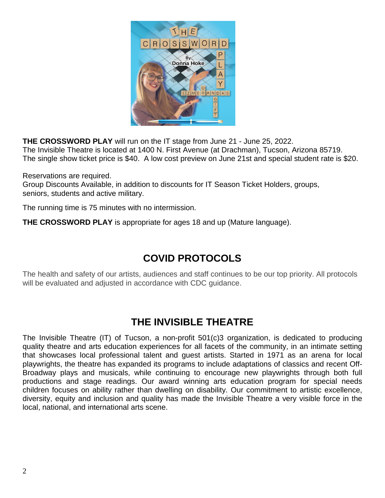

**THE CROSSWORD PLAY** will run on the IT stage from June 21 - June 25, 2022. The Invisible Theatre is located at 1400 N. First Avenue (at Drachman), Tucson, Arizona 85719. The single show ticket price is \$40. A low cost preview on June 21st and special student rate is \$20.

Reservations are required.

Group Discounts Available, in addition to discounts for IT Season Ticket Holders, groups, seniors, students and active military.

The running time is 75 minutes with no intermission.

**THE CROSSWORD PLAY** is appropriate for ages 18 and up (Mature language).

### **COVID PROTOCOLS**

The health and safety of our artists, audiences and staff continues to be our top priority. All protocols will be evaluated and adjusted in accordance with CDC guidance.

### **THE INVISIBLE THEATRE**

The Invisible Theatre (IT) of Tucson, a non-profit 501(c)3 organization, is dedicated to producing quality theatre and arts education experiences for all facets of the community, in an intimate setting that showcases local professional talent and guest artists. Started in 1971 as an arena for local playwrights, the theatre has expanded its programs to include adaptations of classics and recent Off-Broadway plays and musicals, while continuing to encourage new playwrights through both full productions and stage readings. Our award winning arts education program for special needs children focuses on ability rather than dwelling on disability. Our commitment to artistic excellence, diversity, equity and inclusion and quality has made the Invisible Theatre a very visible force in the local, national, and international arts scene.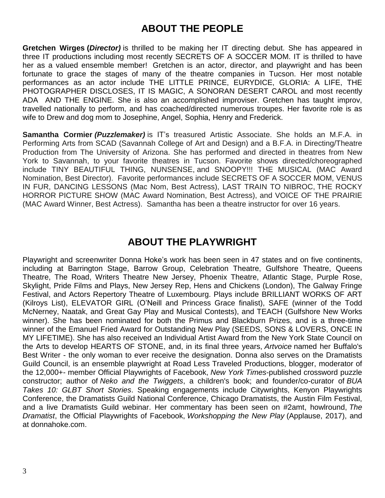## **ABOUT THE PEOPLE**

**Gretchen Wirges (***Director)* is thrilled to be making her IT directing debut. She has appeared in three IT productions including most recently SECRETS OF A SOCCER MOM. IT is thrilled to have her as a valued ensemble member! Gretchen is an actor, director, and playwright and has been fortunate to grace the stages of many of the theatre companies in Tucson. Her most notable performances as an actor include THE LITTLE PRINCE, EURYDICE, GLORIA: A LIFE, THE PHOTOGRAPHER DISCLOSES, IT IS MAGIC, A SONORAN DESERT CAROL and most recently ADA AND THE ENGINE. She is also an accomplished improviser. Gretchen has taught improv, travelled nationally to perform, and has coached/directed numerous troupes. Her favorite role is as wife to Drew and dog mom to Josephine, Angel, Sophia, Henry and Frederick.

**Samantha Cormier** *(Puzzlemaker)* is IT's treasured Artistic Associate. She holds an M.F.A. in Performing Arts from SCAD (Savannah College of Art and Design) and a B.F.A. in Directing/Theatre Production from The University of Arizona. She has performed and directed in theatres from New York to Savannah, to your favorite theatres in Tucson. Favorite shows directed/choreographed include TINY BEAUTIFUL THING, NUNSENSE, and SNOOPY!!! THE MUSICAL (MAC Award Nomination, Best Director). Favorite performances include SECRETS OF A SOCCER MOM, VENUS IN FUR, DANCING LESSONS (Mac Nom, Best Actress), LAST TRAIN TO NIBROC, THE ROCKY HORROR PICTURE SHOW (MAC Award Nomination, Best Actress), and VOICE OF THE PRAIRIE (MAC Award Winner, Best Actress). Samantha has been a theatre instructor for over 16 years.

### **ABOUT THE PLAYWRIGHT**

Playwright and screenwriter Donna Hoke's work has been seen in 47 states and on five continents, including at Barrington Stage, Barrow Group, Celebration Theatre, Gulfshore Theatre, Queens Theatre, The Road, Writers Theatre New Jersey, Phoenix Theatre, Atlantic Stage, Purple Rose, Skylight, Pride Films and Plays, New Jersey Rep, Hens and Chickens (London), The Galway Fringe Festival, and Actors Repertory Theatre of Luxembourg. Plays include BRILLIANT WORKS OF ART (Kilroys List), ELEVATOR GIRL (O'Neill and Princess Grace finalist), SAFE (winner of the Todd McNerney, Naatak, and Great Gay Play and Musical Contests), and TEACH (Gulfshore New Works winner). She has been nominated for both the Primus and Blackburn Prizes, and is a three-time winner of the Emanuel Fried Award for Outstanding New Play (SEEDS, SONS & LOVERS, ONCE IN MY LIFETIME). She has also received an Individual Artist Award from the New York State Council on the Arts to develop HEARTS OF STONE, and, in its final three years, *Artvoice* named her Buffalo's Best Writer - the only woman to ever receive the designation. Donna also serves on the Dramatists Guild Council, is an ensemble playwright at Road Less Traveled Productions, blogger, moderator of the 12,000+- member Official Playwrights of Facebook, *New York Times*-published crossword puzzle constructor; author of *Neko and the Twiggets*, a children's book; and founder/co-curator of *BUA Takes 10: GLBT Short Stories*. Speaking engagements include Citywrights, Kenyon Playwrights Conference, the Dramatists Guild National Conference, Chicago Dramatists, the Austin Film Festival, and a live Dramatists Guild webinar. Her commentary has been seen on #2amt, howlround, *The Dramatist*, the Official Playwrights of Facebook, *Workshopping the New Play* (Applause, 2017), and at donnahoke.com.